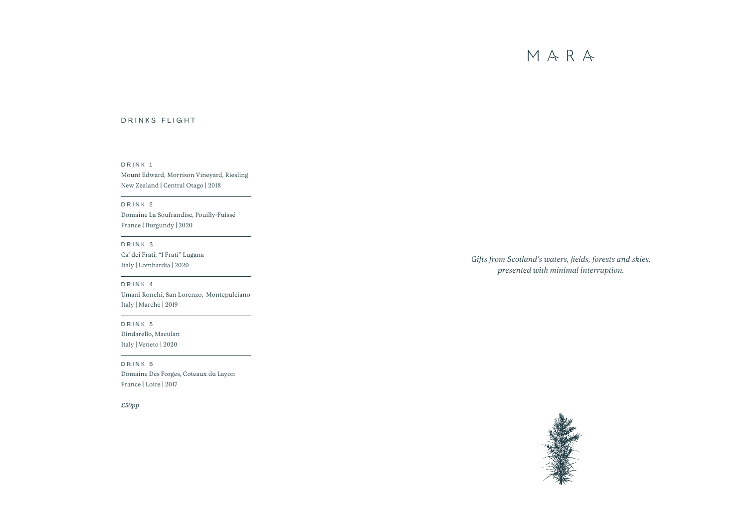# DRINKS FLIGHT

*Gifts from Scotland's waters, fields, forests and skies, presented with minimal interruption.*







# DRINK 1

Mount Edward, Morrison Vineyard, Riesling New Zealand | Central Otago | 2018

# DRINK 2

Domaine La Soufrandise, Pouilly-Fuissé France | Burgundy | 2020

# DRINK 3

Ca' dei Frati, "I Frati" Lugana Italy | Lombardia | 2020

### DRINK 4

Umani Ronchi, San Lorenzo, Montepulciano Italy | Marche | 2019

# DRINK 5

Dindarello, Maculan Italy | Veneto | 2020

### DRINK 6

Domaine Des Forges, Coteaux du Layon France | Loire | 2017

*£50pp*